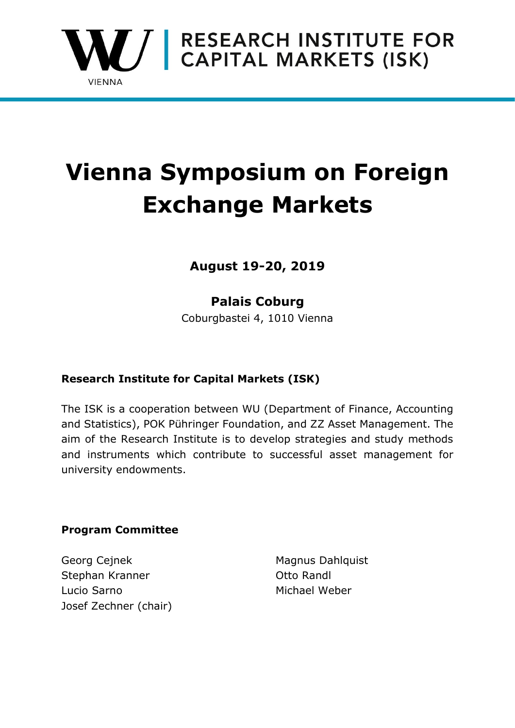

# **Vienna Symposium on Foreign Exchange Markets**

**August 19-20, 2019**

## **Palais Coburg**

Coburgbastei 4, 1010 Vienna

## **Research Institute for Capital Markets (ISK)**

The ISK is a cooperation between WU (Department of Finance, Accounting and Statistics), POK Pühringer Foundation, and ZZ Asset Management. The aim of the Research Institute is to develop strategies and study methods and instruments which contribute to successful asset management for university endowments.

## **Program Committee**

Georg Cejnek Magnus Dahlquist Stephan Kranner **Otto Randl** Lucio Sarno **Michael Weber** Michael Weber Josef Zechner (chair)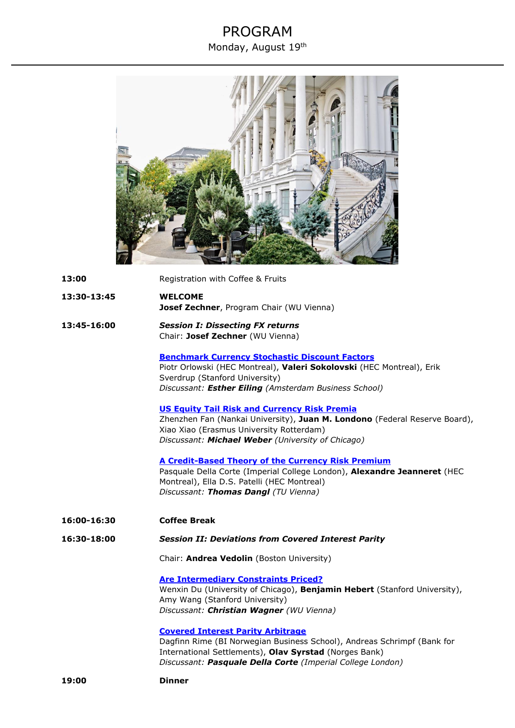## PROGRAM Monday, August 19th

| 13:00       | Registration with Coffee & Fruits                                                                                                                                                                                                           |
|-------------|---------------------------------------------------------------------------------------------------------------------------------------------------------------------------------------------------------------------------------------------|
| 13:30-13:45 | <b>WELCOME</b><br>Josef Zechner, Program Chair (WU Vienna)                                                                                                                                                                                  |
| 13:45-16:00 | <b>Session I: Dissecting FX returns</b><br>Chair: Josef Zechner (WU Vienna)                                                                                                                                                                 |
|             | <b>Benchmark Currency Stochastic Discount Factors</b><br>Piotr Orlowski (HEC Montreal), Valeri Sokolovski (HEC Montreal), Erik<br>Sverdrup (Stanford University)<br>Discussant: Esther Eiling (Amsterdam Business School)                   |
|             | <b>US Equity Tail Risk and Currency Risk Premia</b><br>Zhenzhen Fan (Nankai University), Juan M. Londono (Federal Reserve Board),<br>Xiao Xiao (Erasmus University Rotterdam)<br>Discussant: Michael Weber (University of Chicago)          |
|             | <u>A Credit-Based Theory of the Currency Risk Premium</u><br>Pasquale Della Corte (Imperial College London), Alexandre Jeanneret (HEC<br>Montreal), Ella D.S. Patelli (HEC Montreal)<br>Discussant: Thomas Dangl (TU Vienna)                |
| 16:00-16:30 | <b>Coffee Break</b>                                                                                                                                                                                                                         |
| 16:30-18:00 | <b>Session II: Deviations from Covered Interest Parity</b>                                                                                                                                                                                  |
|             | Chair: Andrea Vedolin (Boston University)                                                                                                                                                                                                   |
|             | <b>Are Intermediary Constraints Priced?</b><br>Wenxin Du (University of Chicago), Benjamin Hebert (Stanford University),<br>Amy Wang (Stanford University)<br>Discussant: Christian Wagner (WU Vienna)                                      |
|             | <b>Covered Interest Parity Arbitrage</b><br>Dagfinn Rime (BI Norwegian Business School), Andreas Schrimpf (Bank for<br>International Settlements), Olav Syrstad (Norges Bank)<br>Discussant: Pasquale Della Corte (Imperial College London) |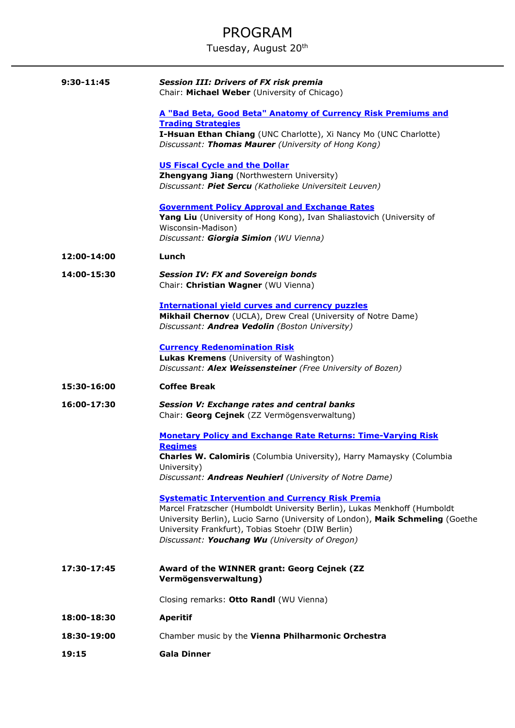## PROGRAM

Tuesday, August 20<sup>th</sup>

| 9:30-11:45  | <b>Session III: Drivers of FX risk premia</b><br>Chair: Michael Weber (University of Chicago)                                                                                                                                                                                                                                |
|-------------|------------------------------------------------------------------------------------------------------------------------------------------------------------------------------------------------------------------------------------------------------------------------------------------------------------------------------|
|             | A "Bad Beta, Good Beta" Anatomy of Currency Risk Premiums and<br><b>Trading Strategies</b><br>I-Hsuan Ethan Chiang (UNC Charlotte), Xi Nancy Mo (UNC Charlotte)<br>Discussant: Thomas Maurer (University of Hong Kong)                                                                                                       |
|             | <b>US Fiscal Cycle and the Dollar</b><br>Zhengyang Jiang (Northwestern University)<br>Discussant: Piet Sercu (Katholieke Universiteit Leuven)                                                                                                                                                                                |
|             | <b>Government Policy Approval and Exchange Rates</b><br>Yang Liu (University of Hong Kong), Ivan Shaliastovich (University of<br>Wisconsin-Madison)<br>Discussant: Giorgia Simion (WU Vienna)                                                                                                                                |
| 12:00-14:00 | Lunch                                                                                                                                                                                                                                                                                                                        |
| 14:00-15:30 | <b>Session IV: FX and Sovereign bonds</b><br>Chair: Christian Wagner (WU Vienna)                                                                                                                                                                                                                                             |
|             | <b>International yield curves and currency puzzles</b><br>Mikhail Chernov (UCLA), Drew Creal (University of Notre Dame)<br>Discussant: Andrea Vedolin (Boston University)                                                                                                                                                    |
|             | <b>Currency Redenomination Risk</b><br>Lukas Kremens (University of Washington)<br>Discussant: Alex Weissensteiner (Free University of Bozen)                                                                                                                                                                                |
| 15:30-16:00 | <b>Coffee Break</b>                                                                                                                                                                                                                                                                                                          |
| 16:00-17:30 | <b>Session V: Exchange rates and central banks</b><br>Chair: Georg Cejnek (ZZ Vermögensverwaltung)                                                                                                                                                                                                                           |
|             | <b>Monetary Policy and Exchange Rate Returns: Time-Varying Risk</b><br><b>Regimes</b><br>Charles W. Calomiris (Columbia University), Harry Mamaysky (Columbia<br>University)<br>Discussant: Andreas Neuhierl (University of Notre Dame)                                                                                      |
|             | <b>Systematic Intervention and Currency Risk Premia</b><br>Marcel Fratzscher (Humboldt University Berlin), Lukas Menkhoff (Humboldt<br>University Berlin), Lucio Sarno (University of London), Maik Schmeling (Goethe<br>University Frankfurt), Tobias Stoehr (DIW Berlin)<br>Discussant: Youchang Wu (University of Oregon) |
| 17:30-17:45 | Award of the WINNER grant: Georg Cejnek (ZZ<br>Vermögensverwaltung)                                                                                                                                                                                                                                                          |
|             | Closing remarks: Otto Randl (WU Vienna)                                                                                                                                                                                                                                                                                      |
| 18:00-18:30 | <b>Aperitif</b>                                                                                                                                                                                                                                                                                                              |
| 18:30-19:00 | Chamber music by the Vienna Philharmonic Orchestra                                                                                                                                                                                                                                                                           |
| 19:15       | <b>Gala Dinner</b>                                                                                                                                                                                                                                                                                                           |